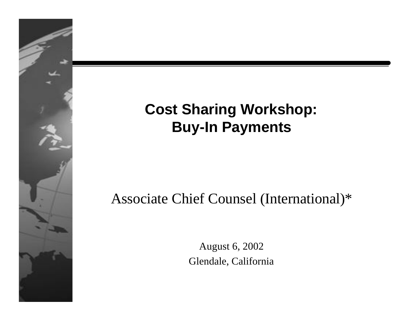#### **Cost Sharing Workshop: Buy-In Payments**

#### Associate Chief Counsel (International)\*

August 6, 2002 Glendale, California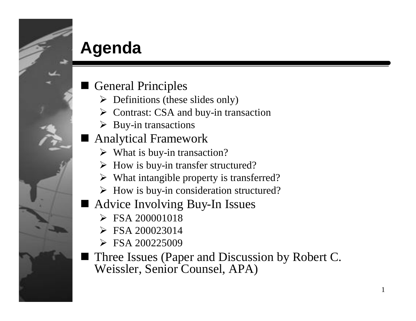## **Agenda**

- **General Principles** 
	- $\triangleright$  Definitions (these slides only)
	- $\triangleright$  Contrast: CSA and buy-in transaction
	- $\triangleright$  Buy-in transactions
- n Analytical Framework
	- $\triangleright$  What is buy-in transaction?
	- $\triangleright$  How is buy-in transfer structured?
	- $\triangleright$  What intangible property is transferred?
	- $\triangleright$  How is buy-in consideration structured?
- Advice Involving Buy-In Issues
	- $\triangleright$  FSA 200001018
	- $\triangleright$  FSA 200023014
	- $\triangleright$  FSA 200225009
- Three Issues (Paper and Discussion by Robert C. Weissler, Senior Counsel, APA)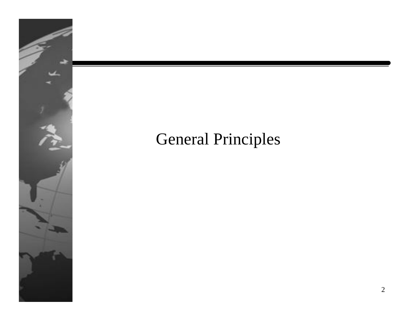

#### General Principles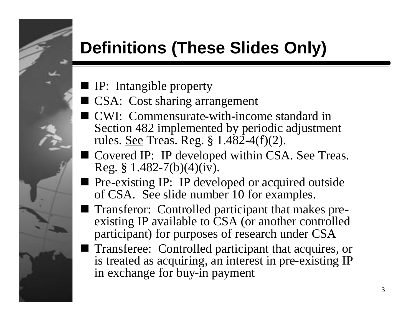### **Definitions (These Slides Only)**

- **I** IP: Intangible property
- CSA: Cost sharing arrangement
- **I** CWI: Commensurate-with-income standard in Section 482 implemented by periodic adjustment rules. See Treas. Reg. § 1.482-4(f)(2).
- Covered IP: IP developed within CSA. See Treas. Reg. § 1.482-7(b)(4)( $iv$ ).
- Pre-existing IP: IP developed or acquired outside of CSA. See slide number 10 for examples.
- Transferor: Controlled participant that makes preexisting IP available to CSA (or another controlled participant) for purposes of research under CSA
- Transferee: Controlled participant that acquires, or is treated as acquiring, an interest in pre-existing IP in exchange for buy-in payment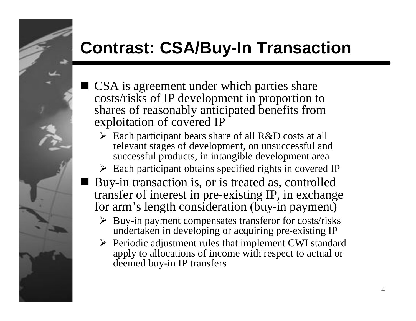## **Contrast: CSA/Buy-In Transaction**

- CSA is agreement under which parties share costs/risks of IP development in proportion to shares of reasonably anticipated benefits from exploitation of covered IP
	- $\triangleright$  Each participant bears share of all R&D costs at all relevant stages of development, on unsuccessful and successful products, in intangible development area
	- $\triangleright$  Each participant obtains specified rights in covered IP
- Buy-in transaction is, or is treated as, controlled transfer of interest in pre-existing IP, in exchange for arm's length consideration (buy-in payment)
	- $\triangleright$  Buy-in payment compensates transferor for costs/risks undertaken in developing or acquiring pre-existing IP
	- $\triangleright$  Periodic adjustment rules that implement CWI standard apply to allocations of income with respect to actual or deemed buy-in IP transfers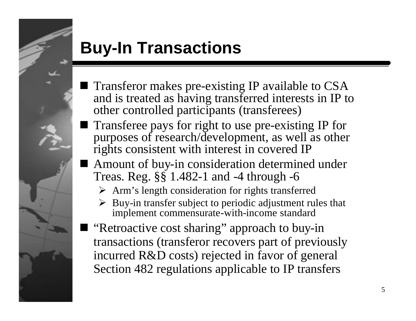

## **Buy-In Transactions**

- **Transferor makes pre-existing IP available to CSA** and is treated as having transferred interests in IP to other controlled participants (transferees)
- **Transferee pays for right to use pre-existing IP for** purposes of research/development, as well as other rights consistent with interest in covered IP
- Amount of buy-in consideration determined under Treas. Reg. §§ 1.482-1 and -4 through -6
	- $\triangleright$  Arm's length consideration for rights transferred
	- Buy-in transfer subject to periodic adjustment rules that implement commensurate-with-income standard
- "Retroactive cost sharing" approach to buy-in transactions (transferor recovers part of previously incurred R&D costs) rejected in favor of general Section 482 regulations applicable to IP transfers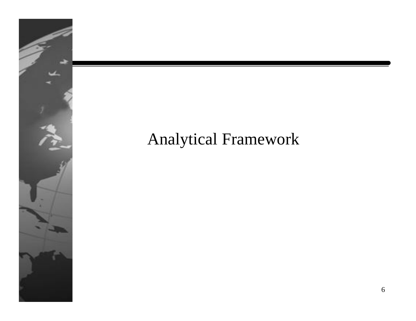

#### Analytical Framework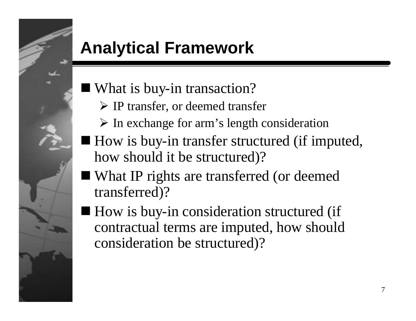# **Analytical Framework**

#### $\blacksquare$  What is buy-in transaction?

- $\triangleright$  IP transfer, or deemed transfer
- $\triangleright$  In exchange for arm's length consideration
- $\blacksquare$  How is buy-in transfer structured (if imputed, how should it be structured)?
- What IP rights are transferred (or deemed transferred)?
- $\blacksquare$  How is buy-in consideration structured (if contractual terms are imputed, how should consideration be structured)?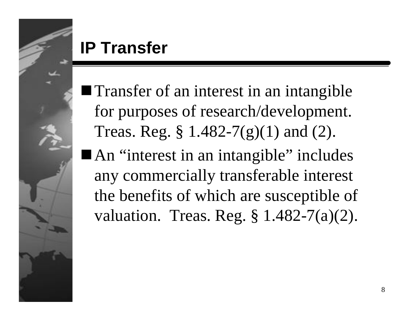

#### **IP Transfer**

- $\blacksquare$  Transfer of an interest in an intangible for purposes of research/development. Treas. Reg. § 1.482-7(g)(1) and (2).
- An "interest in an intangible" includes any commercially transferable interest the benefits of which are susceptible of valuation. Treas. Reg. § 1.482-7(a)(2).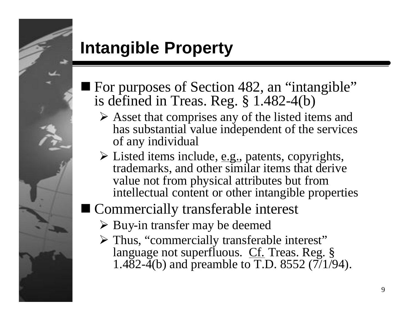

## **Intangible Property**

- For purposes of Section 482, an "intangible" is defined in Treas. Reg. § 1.482-4(b)
	- $\triangleright$  Asset that comprises any of the listed items and has substantial value independent of the services of any individual
	- $\triangleright$  Listed items include, <u>e.g.</u>, patents, copyrights, trademarks, and other similar items that derive value not from physical attributes but from intellectual content or other intangible properties

#### ■ Commercially transferable interest

- $\triangleright$  Buy-in transfer may be deemed
- $\triangleright$  Thus, "commercially transferable interest" language not superfluous. Cf. Treas. Reg. § 1.482-4(b) and preamble to T.D. 8552  $(7/1/94)$ .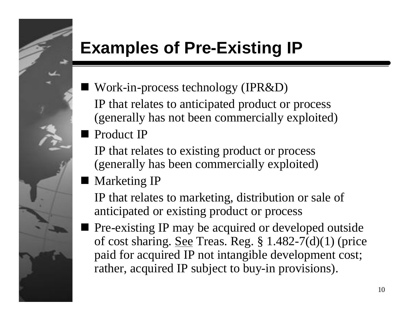# **Examples of Pre-Existing IP**

- $\blacksquare$  Work-in-process technology (IPR&D) IP that relates to anticipated product or process (generally has not been commercially exploited)
- **Product IP** 
	- IP that relates to existing product or process (generally has been commercially exploited)
- **Narketing IP** 
	- IP that relates to marketing, distribution or sale of anticipated or existing product or process
- n Pre-existing IP may be acquired or developed outside of cost sharing. See Treas. Reg.  $\S 1.482-7(d)(1)$  (price paid for acquired IP not intangible development cost; rather, acquired IP subject to buy-in provisions).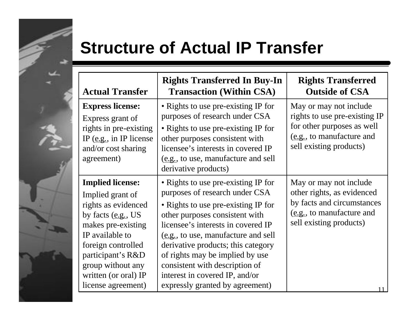#### **Structure of Actual IP Transfer**

| <b>Actual Transfer</b>                                                                                                                                                                                                                             | <b>Rights Transferred In Buy-In</b><br><b>Transaction (Within CSA)</b>                                                                                                                                                                                                                                                                                                                                      | <b>Rights Transferred</b><br><b>Outside of CSA</b>                                                                                            |
|----------------------------------------------------------------------------------------------------------------------------------------------------------------------------------------------------------------------------------------------------|-------------------------------------------------------------------------------------------------------------------------------------------------------------------------------------------------------------------------------------------------------------------------------------------------------------------------------------------------------------------------------------------------------------|-----------------------------------------------------------------------------------------------------------------------------------------------|
| <b>Express license:</b><br>Express grant of<br>rights in pre-existing<br>IP $(e.g., in IP$ license<br>and/or cost sharing<br>agreement)                                                                                                            | • Rights to use pre-existing IP for<br>purposes of research under CSA<br>• Rights to use pre-existing IP for<br>other purposes consistent with<br>licensee's interests in covered IP<br>(e.g., to use, manufacture and sell<br>derivative products)                                                                                                                                                         | May or may not include<br>rights to use pre-existing IP<br>for other purposes as well<br>(e.g., to manufacture and<br>sell existing products) |
| <b>Implied license:</b><br>Implied grant of<br>rights as evidenced<br>by facts $(e.g., US)$<br>makes pre-existing<br>IP available to<br>foreign controlled<br>participant's R&D<br>group without any<br>written (or oral) IP<br>license agreement) | • Rights to use pre-existing IP for<br>purposes of research under CSA<br>• Rights to use pre-existing IP for<br>other purposes consistent with<br>licensee's interests in covered IP<br>(e.g., to use, manufacture and sell<br>derivative products; this category<br>of rights may be implied by use<br>consistent with description of<br>interest in covered IP, and/or<br>expressly granted by agreement) | May or may not include<br>other rights, as evidenced<br>by facts and circumstances<br>(e.g., to manufacture and<br>sell existing products)    |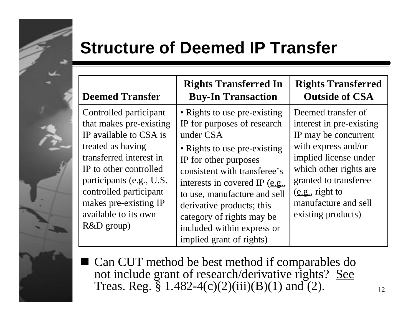## **Structure of Deemed IP Transfer**

| <b>Deemed Transfer</b>                                                                                                                                                                                                                                                       | <b>Rights Transferred In</b><br><b>Buy-In Transaction</b>                                                                                                                                                                                                                                                                                                                         | <b>Rights Transferred</b><br><b>Outside of CSA</b>                                                                                                                                                                                         |
|------------------------------------------------------------------------------------------------------------------------------------------------------------------------------------------------------------------------------------------------------------------------------|-----------------------------------------------------------------------------------------------------------------------------------------------------------------------------------------------------------------------------------------------------------------------------------------------------------------------------------------------------------------------------------|--------------------------------------------------------------------------------------------------------------------------------------------------------------------------------------------------------------------------------------------|
| Controlled participant<br>that makes pre-existing<br>IP available to CSA is<br>treated as having<br>transferred interest in<br>IP to other controlled<br>participants (e.g., U.S.<br>controlled participant<br>makes pre-existing IP<br>available to its own<br>$R&D$ group) | • Rights to use pre-existing<br>IP for purposes of research<br>under CSA<br>• Rights to use pre-existing<br>IP for other purposes<br>consistent with transferee's<br>interests in covered IP $(\underline{e}.\underline{g}$ .<br>to use, manufacture and sell<br>derivative products; this<br>category of rights may be<br>included within express or<br>implied grant of rights) | Deemed transfer of<br>interest in pre-existing<br>IP may be concurrent<br>with express and/or<br>implied license under<br>which other rights are<br>granted to transferee<br>(e.g., right to<br>manufacture and sell<br>existing products) |

■ Can CUT method be best method if comparables do not include grant of research/derivative rights? See Treas. Reg. § 1.482-4(c)(2)(iii)(B)(1) and (2).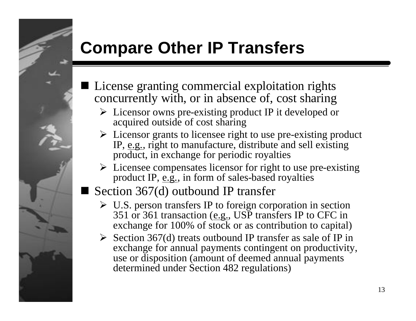## **Compare Other IP Transfers**

- License granting commercial exploitation rights concurrently with, or in absence of, cost sharing
	- $\triangleright$  Licensor owns pre-existing product IP it developed or acquired outside of cost sharing
	- $\triangleright$  Licensor grants to licensee right to use pre-existing product IP, e.g., right to manufacture, distribute and sell existing product, in exchange for periodic royalties
	- $\triangleright$  Licensee compensates licensor for right to use pre-existing product IP, e.g., in form of sales-based royalties
- Section 367(d) outbound IP transfer
	- $\triangleright$  U.S. person transfers IP to foreign corporation in section 351 or 361 transaction (e.g., USP transfers IP to CFC in exchange for 100% of stock or as contribution to capital)
	- $\triangleright$  Section 367(d) treats outbound IP transfer as sale of IP in exchange for annual payments contingent on productivity, use or disposition (amount of deemed annual payments determined under Section 482 regulations)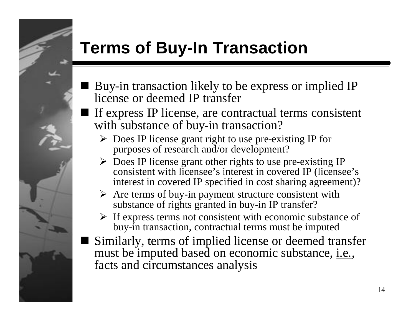## **Terms of Buy-In Transaction**

- n Buy-in transaction likely to be express or implied IP license or deemed IP transfer
- If express IP license, are contractual terms consistent with substance of buy-in transaction?
	- $\triangleright$  Does IP license grant right to use pre-existing IP for purposes of research and/or development?
	- $\triangleright$  Does IP license grant other rights to use pre-existing IP consistent with licensee's interest in covered IP (licensee's interest in covered IP specified in cost sharing agreement)?
	- $\triangleright$  Are terms of buy-in payment structure consistent with substance of rights granted in buy-in IP transfer?
	- $\triangleright$  If express terms not consistent with economic substance of buy-in transaction, contractual terms must be imputed
- Similarly, terms of implied license or deemed transfer must be imputed based on economic substance, i.e., facts and circumstances analysis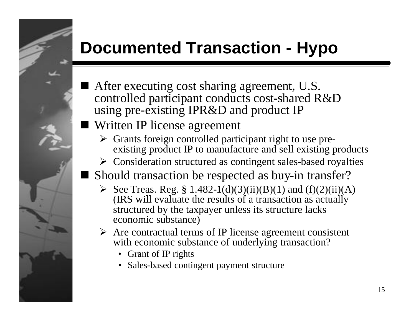# **Documented Transaction - Hypo**

- After executing cost sharing agreement, U.S. controlled participant conducts cost-shared R&D using pre-existing IPR&D and product IP
- Written IP license agreement
	- $\triangleright$  Grants foreign controlled participant right to use preexisting product IP to manufacture and sell existing products
	- $\triangleright$  Consideration structured as contingent sales-based royalties
- Should transaction be respected as buy-in transfer?
	- $\geq$  <u>See</u> Treas. Reg. § 1.482-1(d)(3)(ii)(B)(1) and (f)(2)(ii)(A) (IRS will evaluate the results of a transaction as actually structured by the taxpayer unless its structure lacks economic substance)
	- $\triangleright$  Are contractual terms of IP license agreement consistent with economic substance of underlying transaction?
		- Grant of IP rights
		- Sales-based contingent payment structure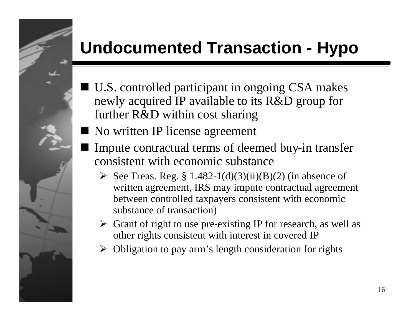## **Undocumented Transaction - Hypo**

- $\blacksquare$  U.S. controlled participant in ongoing CSA makes newly acquired IP available to its R&D group for further R&D within cost sharing
- No written IP license agreement
- Impute contractual terms of deemed buy-in transfer consistent with economic substance
	- $\geq$  <u>See</u> Treas. Reg. § 1.482-1(d)(3)(ii)(B)(2) (in absence of written agreement, IRS may impute contractual agreement between controlled taxpayers consistent with economic substance of transaction)
	- $\triangleright$  Grant of right to use pre-existing IP for research, as well as other rights consistent with interest in covered IP
	- $\triangleright$  Obligation to pay arm's length consideration for rights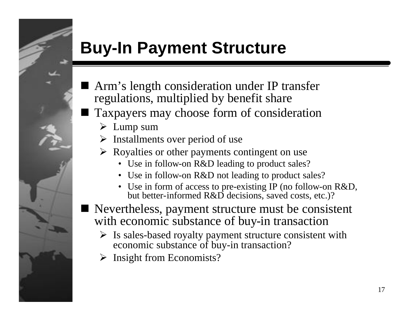## **Buy-In Payment Structure**

- Arm's length consideration under IP transfer regulations, multiplied by benefit share
- Taxpayers may choose form of consideration
	- $\triangleright$  Lump sum
	- $\triangleright$  Installments over period of use
	- $\triangleright$  Royalties or other payments contingent on use
		- Use in follow-on R&D leading to product sales?
		- Use in follow-on R&D not leading to product sales?
		- Use in form of access to pre-existing IP (no follow-on R&D, but better-informed R&D decisions, saved costs, etc.)?
- Nevertheless, payment structure must be consistent with economic substance of buy-in transaction
	- $\triangleright$  Is sales-based royalty payment structure consistent with economic substance of buy-in transaction?
	- $\triangleright$  Insight from Economists?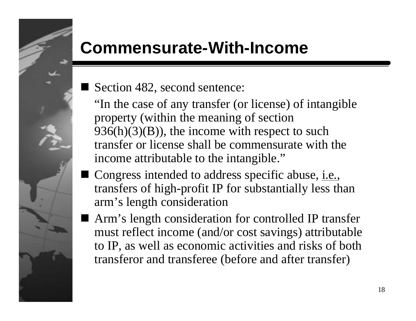## **Commensurate-With-Income**

Section 482, second sentence:

"In the case of any transfer (or license) of intangible property (within the meaning of section  $936(h)(3)(B)$ , the income with respect to such transfer or license shall be commensurate with the income attributable to the intangible."

- Congress intended to address specific abuse, i.e., transfers of high-profit IP for substantially less than arm's length consideration
- Arm's length consideration for controlled IP transfer must reflect income (and/or cost savings) attributable to IP, as well as economic activities and risks of both transferor and transferee (before and after transfer)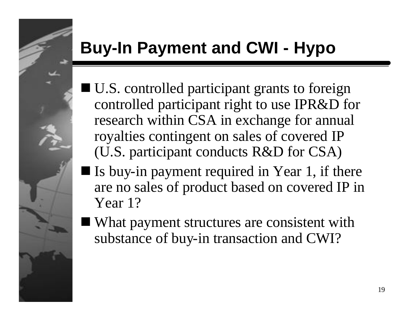# **Buy-In Payment and CWI - Hypo**

- $\blacksquare$  U.S. controlled participant grants to foreign controlled participant right to use IPR&D for research within CSA in exchange for annual royalties contingent on sales of covered IP (U.S. participant conducts R&D for CSA)
- $\blacksquare$  Is buy-in payment required in Year 1, if there are no sales of product based on covered IP in Year 1?
- What payment structures are consistent with substance of buy-in transaction and CWI?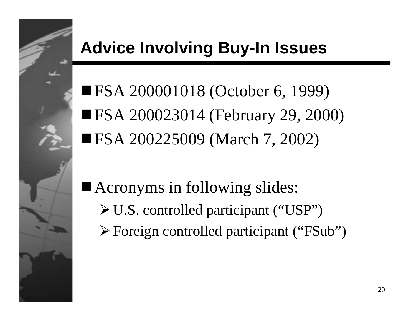# **Advice Involving Buy-In Issues**

■FSA 200001018 (October 6, 1999) ■ FSA 200023014 (February 29, 2000) ■FSA 200225009 (March 7, 2002)

 $\blacksquare$  Acronyms in following slides:

- $\triangleright$  U.S. controlled participant ("USP")
- ÿForeign controlled participant ("FSub")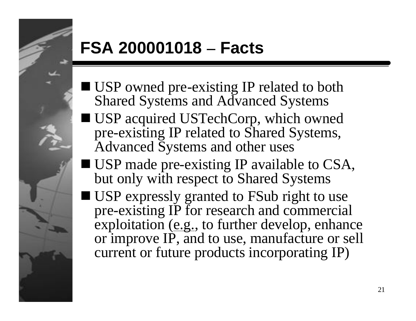## **FSA 200001018 – Facts**

- USP owned pre-existing IP related to both Shared Systems and Advanced Systems
- USP acquired USTechCorp, which owned pre-existing IP related to Shared Systems, Advanced Systems and other uses
- USP made pre-existing IP available to CSA, but only with respect to Shared Systems
- USP expressly granted to FSub right to use pre-existing IP for research and commercial exploitation (e.g., to further develop, enhance or improve IP, and to use, manufacture or sell current or future products incorporating IP)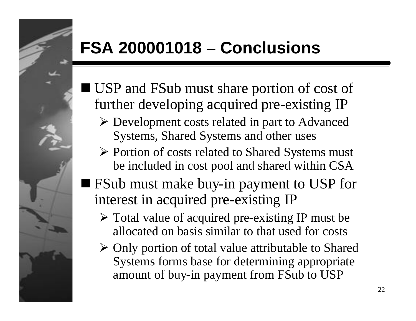## **FSA 200001018 – Conclusions**

- USP and FSub must share portion of cost of further developing acquired pre-existing IP
	- $\triangleright$  Development costs related in part to Advanced Systems, Shared Systems and other uses
	- $\triangleright$  Portion of costs related to Shared Systems must be included in cost pool and shared within CSA
- FSub must make buy-in payment to USP for interest in acquired pre-existing IP
	- $\triangleright$  Total value of acquired pre-existing IP must be allocated on basis similar to that used for costs
	- $\triangleright$  Only portion of total value attributable to Shared Systems forms base for determining appropriate amount of buy-in payment from FSub to USP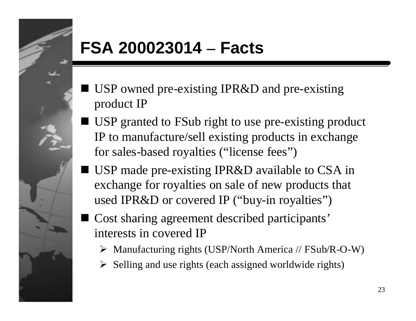## **FSA 200023014 – Facts**

- USP owned pre-existing IPR&D and pre-existing product IP
- USP granted to FSub right to use pre-existing product IP to manufacture/sell existing products in exchange for sales-based royalties ("license fees")
- USP made pre-existing IPR&D available to CSA in exchange for royalties on sale of new products that used IPR&D or covered IP ("buy-in royalties")
- Cost sharing agreement described participants' interests in covered IP
	- $\triangleright$  Manufacturing rights (USP/North America // FSub/R-O-W)
	- $\triangleright$  Selling and use rights (each assigned worldwide rights)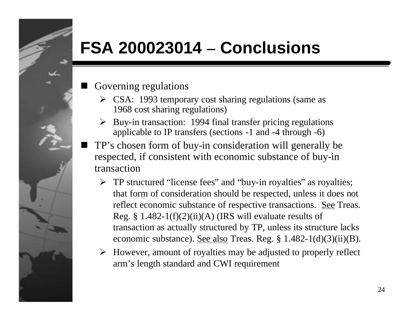#### **FSA 200023014 – Conclusions**

- Governing regulations
	- $\triangleright$  CSA: 1993 temporary cost sharing regulations (same as 1968 cost sharing regulations)
	- $\triangleright$  Buy-in transaction: 1994 final transfer pricing regulations applicable to IP transfers (sections -1 and -4 through -6)
- TP's chosen form of buy-in consideration will generally be respected, if consistent with economic substance of buy-in transaction
	- $\triangleright$  TP structured "license fees" and "buy-in royalties" as royalties; that form of consideration should be respected, unless it does not reflect economic substance of respective transactions. See Treas. Reg. § 1.482-1(f)(2)(ii)(A) (IRS will evaluate results of transaction as actually structured by TP, unless its structure lacks economic substance). See also Treas. Reg. § 1.482-1(d)(3)(ii)(B).
	- $\triangleright$  However, amount of royalties may be adjusted to properly reflect arm's length standard and CWI requirement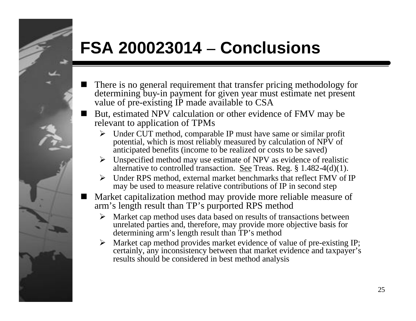## **FSA 200023014 – Conclusions**

- There is no general requirement that transfer pricing methodology for determining buy-in payment for given year must estimate net present value of pre-existing IP made available to CSA
- But, estimated NPV calculation or other evidence of FMV may be relevant to application of TPMs
	- $\triangleright$  Under CUT method, comparable IP must have same or similar profit potential, which is most reliably measured by calculation of NPV of anticipated benefits (income to be realized or costs to be saved)
	- $\triangleright$  Unspecified method may use estimate of NPV as evidence of realistic alternative to controlled transaction. See Treas. Reg. § 1.482-4(d)(1).
	- $\triangleright$  Under RPS method, external market benchmarks that reflect FMV of IP may be used to measure relative contributions of IP in second step
- n Market capitalization method may provide more reliable measure of arm's length result than TP's purported RPS method
	- $\triangleright$  Market cap method uses data based on results of transactions between unrelated parties and, therefore, may provide more objective basis for determining arm's length result than TP's method
	- $\triangleright$  Market cap method provides market evidence of value of pre-existing IP; certainly, any inconsistency between that market evidence and taxpayer's results should be considered in best method analysis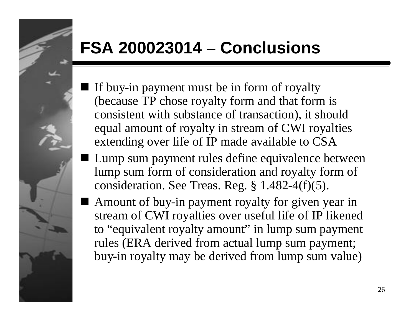## **FSA 200023014 – Conclusions**

- If buy-in payment must be in form of royalty (because TP chose royalty form and that form is consistent with substance of transaction), it should equal amount of royalty in stream of CWI royalties extending over life of IP made available to CSA
- Lump sum payment rules define equivalence between lump sum form of consideration and royalty form of consideration. See Treas. Reg. § 1.482-4(f)(5).
- Amount of buy-in payment royalty for given year in stream of CWI royalties over useful life of IP likened to "equivalent royalty amount" in lump sum payment rules (ERA derived from actual lump sum payment; buy-in royalty may be derived from lump sum value)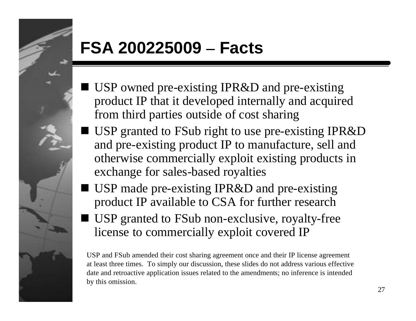## **FSA 200225009 – Facts**

- **I** USP owned pre-existing IPR&D and pre-existing product IP that it developed internally and acquired from third parties outside of cost sharing
- USP granted to FSub right to use pre-existing IPR&D and pre-existing product IP to manufacture, sell and otherwise commercially exploit existing products in exchange for sales-based royalties
- USP made pre-existing IPR&D and pre-existing product IP available to CSA for further research
- USP granted to FSub non-exclusive, royalty-free license to commercially exploit covered IP

USP and FSub amended their cost sharing agreement once and their IP license agreement at least three times. To simply our discussion, these slides do not address various effective date and retroactive application issues related to the amendments; no inference is intended by this omission.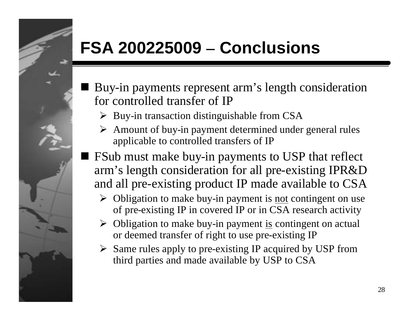## **FSA 200225009 – Conclusions**

- n Buy-in payments represent arm's length consideration for controlled transfer of IP
	- $\triangleright$  Buy-in transaction distinguishable from CSA
	- $\triangleright$  Amount of buy-in payment determined under general rules applicable to controlled transfers of IP
- $\blacksquare$  FSub must make buy-in payments to USP that reflect arm's length consideration for all pre-existing IPR&D and all pre-existing product IP made available to CSA
	- $\triangleright$  Obligation to make buy-in payment is <u>not</u> contingent on use of pre-existing IP in covered IP or in CSA research activity
	- $\triangleright$  Obligation to make buy-in payment is contingent on actual or deemed transfer of right to use pre-existing IP
	- $\triangleright$  Same rules apply to pre-existing IP acquired by USP from third parties and made available by USP to CSA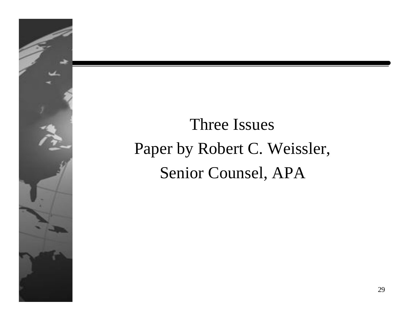

# Three Issues Paper by Robert C. Weissler, Senior Counsel, APA